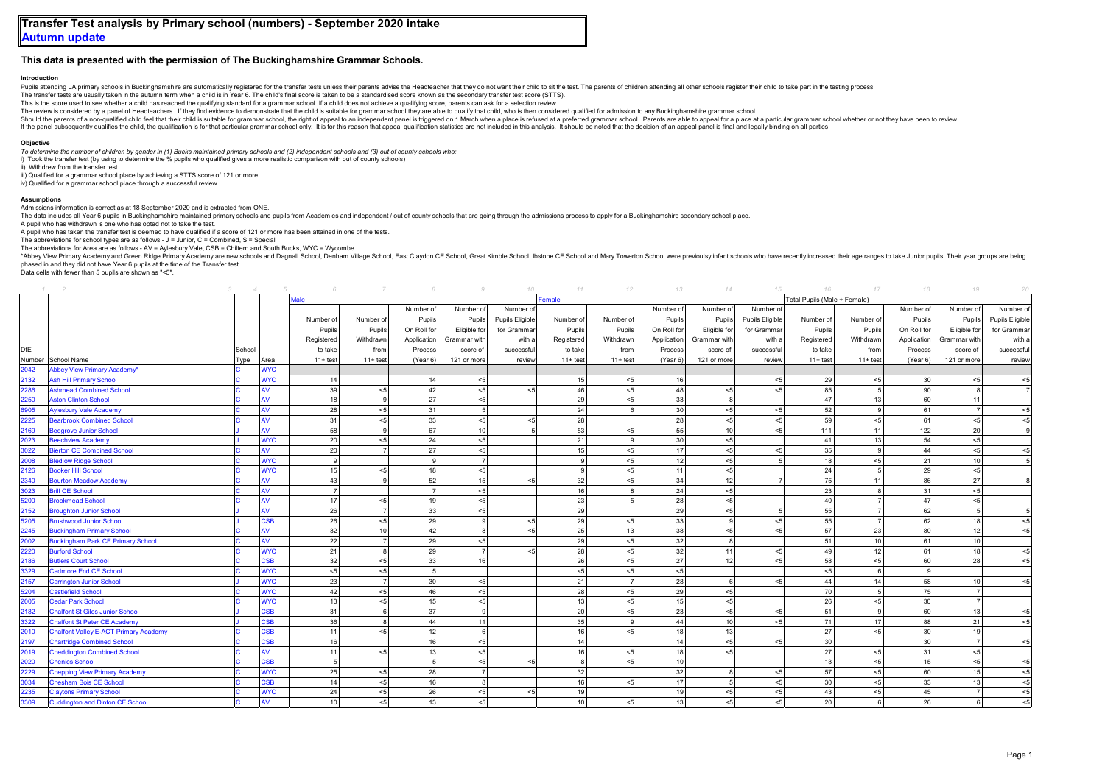## **This data is presented with the permission of The Buckinghamshire Grammar Schools.**

## **Introduction**

Pupils attending I. A primary schools in Buckinghamshire are automatically registered for the transfer tests unless their parents advise the Headteacher that they do not want their child to sit the test. The parents of chi

The transfer tests are usually taken in the autumn term when a child is in Year 6. The child's final score is taken to be a standardised score known as the secondary transfer test score (STTS). This is the score used to see whether a child has reached the qualifying standard for a grammar school. If a child does not achieve a qualifying score, parents can ask for a selection review.

The review is considered by a panel of Headteachers. If they find evidence to demonstrate that the child is suitable for grammar school they are able to qualify that child, who is then considered qualified for admission to

Should the parents of a non-qualified child feel that their child is suitable for grammar school, the right of appeal to an independent panel is triggered on 1 March when a place is refused at a preferred grammar school. P

If the panel subsequently qualifies the child, the qualification is for that particular grammar school only. It is for this reason that appeal qualification statistics are not included in this analysis. It should be noted

## **Objective**

*To determine the number of children by gender in (1) Bucks maintained primary schools and (2) independent schools and (3) out of county schools who:* i) Took the transfer test (by using to determine the % pupils who qualified gives a more realistic comparison with out of county schools)

ii) Withdrew from the transfer test.

iii) Qualified for a grammar school place by achieving a STTS score of 121 or more

iv) Qualified for a grammar school place through a successful review.

## **Assumptions**

Admissions information is correct as at 18 September 2020 and is extracted from ONE.

The data includes all Year 6 pupils in Buckinghamshire maintained primary schools and pupils from Academies and independent / out of county schools that are going through the admissions process to apply for a Buckinghamshi

A pupil who has withdrawn is one who has opted not to take the test.

A pupil who has taken the transfer test is deemed to have qualified if a score of 121 or more has been attained in one of the tests.

The abbreviations for school types are as follows -  $J = J$ unior,  $C = Combined$ ,  $S = S$ pecial

The abbreviations for Area are as follows - AV = Aylesbury Vale, CSB = Chiltern and South Bucks, WYC = Wycombe.

\*Abbey View Primary Academy and Green Ridge Primary Academy are new schools and Dagnall School, Denham Village School, East Claydon CE School, Great Kimble School, Isstone CE School and Mary Towerton School wre previoulsy phased in and they did not have Year 6 pupils at the time of the Transfer test.

Data cells with fewer than 5 pupils are shown as "<5".

|      |                                              |        |            |                |                |                 |                 |                 | 11              | 12             | $13 -$      | 14              | 15                           | 16         | 17              | 18              | 19             |                 |  |
|------|----------------------------------------------|--------|------------|----------------|----------------|-----------------|-----------------|-----------------|-----------------|----------------|-------------|-----------------|------------------------------|------------|-----------------|-----------------|----------------|-----------------|--|
|      |                                              |        |            | lale           |                |                 |                 |                 | emale           |                |             |                 | Total Pupils (Male + Female) |            |                 |                 |                |                 |  |
|      |                                              |        |            |                |                | Number of       | Number of       | Number of       |                 |                | Number of   | Number of       | Number of                    |            |                 | Number of       | Number of      | Number of       |  |
|      |                                              |        |            | Number of      | Number of      | Pupils          | Pupils          | Pupils Eligible | Number of       | Number of      | Pupils      | Pupils          | Pupils Eligible              | Number of  | Number of       | Pupils          | Pupils         | Pupils Eligible |  |
|      |                                              |        |            | Pupils         | Pupils         | On Roll for     | Eligible for    | for Grammar     | Pupils          | Pupils         | On Roll for | Eligible for    | for Grammar                  | Pupils     | Pupils          | On Roll for     | Eligible for   | for Grammar     |  |
|      |                                              |        |            | Registered     | Withdrawn      | Application     | Grammar with    | with a          | Registered      | Withdrawn      | Application | Grammar with    | with a                       | Registered | Withdrawn       | Application     | Grammar with   | with a          |  |
| DfE  |                                              | School |            | to take        | from           | Process         | score of        | successful      | to take         | from           | Process     | score of        | successful                   | to take    | from            | Process         | score of       | successful      |  |
|      | Number School Name                           | Type   | Area       | $11 + test$    | $11 + test$    | (Year 6)        | 121 or more     | review          | $11 + test$     | $11 + test$    | (Year 6)    | 121 or more     | review                       | $11+$ test | $11+$ test      | (Year 6)        | 121 or more    | review          |  |
| 2042 | Abbey View Primary Academy*                  |        | <b>WYC</b> |                |                |                 |                 |                 |                 |                |             |                 |                              |            |                 |                 |                |                 |  |
| 2132 | <b>Ash Hill Primary School</b>               |        | <b>WYC</b> | 14             |                | 14              | $< 5$           |                 | 15              | < 5            | 16          |                 | < 5                          | 29         | < 5             | 30              | < 5            | $5$             |  |
| 2286 | <b>Ashmead Combined School</b>               |        | AV         | 39             | < 5            | 42              | $5$             | < 5             | 46              | < 5            | 48          | < 5             | 5<                           | 85         | 5 <sup>1</sup>  | 90              | $\mathbf{a}$   |                 |  |
| 2250 | <b>Aston Clinton School</b>                  |        | AV         | 18             | <b>q</b>       | 27              | < 5             |                 | 29              | < 5            | 33          | 8               |                              | 47         | 13              | 60              | 11             |                 |  |
| 6905 | Aylesbury Vale Academy                       |        | ۹V         | 28             | < 5            | 31              | $\overline{5}$  |                 | 24              | $\epsilon$     | 30          | < 5             | < 5                          | 52         | $\mathbf{Q}$    | 61              | $\overline{7}$ | < 5             |  |
| 2225 | <b>Bearbrook Combined School</b>             |        | AV         | 31             | < 5            | 33              | $< 5$           | < 5             | 28              |                | 28          | < 5             | < 5                          | 59         | < 5             | 61              | < 5            | < 5             |  |
| 2169 | Bedgrove Junior School                       |        | AV         | 58             |                | 67              | 10 <sup>1</sup> |                 | 53              | < 5            | 55          | 10 <sup>1</sup> | < 5                          | 111        | 11              | 122             | 20             |                 |  |
| 2023 | <b>Beechview Academy</b>                     |        | <b>WYC</b> | 20             | < 5            | 24              | $5$             |                 | 21              | 9              | 30          | < 5             |                              | 41         | 13              | 54              | < 5            |                 |  |
| 3022 | <b>Sierton CE Combined School</b>            |        | AV         | 20             |                | 27              | $< 5$           |                 | 15              | $5$            | 17          | < 5             | $\leq$                       | 35         | 9 <sup>1</sup>  | 44              | $<\!\!5$       | 5               |  |
| 2008 | <b>Bledlow Ridge School</b>                  |        | <b>WYC</b> | 9              |                | 9               | $\overline{7}$  |                 | <b>q</b>        | $< 5$          | 12          | < 5             |                              | 18         | < 5             | 21              | 10             |                 |  |
| 2126 | Booker Hill School                           |        | <b>WYC</b> | 15             | < 5            | 18              | $< 5$           |                 | $\Omega$        | < 5            | 11          | < 5             |                              | 24         | 5               | 29              | < 5            |                 |  |
| 2340 | <b>Bourton Meadow Academy</b>                |        | AV         | 43             |                | 52              | 15              | < 5             | 32              | < 5            | 34          | 12              |                              | 75         | 11              | 86              | 27             |                 |  |
| 3023 | <b>Brill CE School</b>                       |        | AV         | $\overline{7}$ |                | $\overline{7}$  | < 5             |                 | 16              | 8              | 24          | < 5             |                              | 23         | 8               | 31              | < 5            |                 |  |
| 5200 | <b>Brookmead School</b>                      |        | AV         | 17             | < 5            | 19              | < 5             |                 | 23              | $\overline{5}$ | 28          | < 5             |                              | 40         | 7               | 47              | < 5            |                 |  |
| 2152 | <b>Broughton Junior School</b>               |        | AV         | 26             | $\overline{7}$ | 33              | < 5             |                 | 29              |                | 29          | < 5             |                              | 55         | 7               | 62              | $\overline{5}$ |                 |  |
| 5205 | <b>Brushwood Junior School</b>               |        | <b>CSB</b> | 26             | < 5            | 29              | $\mathbf{g}$    | < 5             | 29              | < 5            | 33          | $\mathbf{g}$    | < 5                          | 55         | 7               | 62              | 18             | < 5             |  |
| 2245 | <b>Buckingham Primary School</b>             |        | AV         | 32             | 10             | 42              | 8               | $5$             | 25              | 13             | 38          | < 5             | < 5                          | 57         | 23              | 80              | 12             | < 5             |  |
| 2002 | <b>Buckingham Park CE Primary School</b>     |        | AV         | 22             |                | 29              | $5$             |                 | 29              | < 5            | 32          | $\mathbf{a}$    |                              | 51         | 10 <sup>1</sup> | 61              | 10             |                 |  |
| 2220 | <b>Burford School</b>                        |        | <b>WYC</b> | 21             | 8              | 29              | $\overline{7}$  | < 5             | 28              | < 5            | 32          | 11              | < 5                          | 49         | 12              | 61              | 18             | < 5             |  |
| 2186 | <b>Butlers Court School</b>                  |        | <b>CSB</b> | 32             | < 5            | 33              | 16              |                 | 26              | < 5            | 27          | 12              | < 5                          | 58         | < 5             | 60              | 28             | < 5             |  |
| 3329 | Cadmore End CE School                        |        | <b>WYC</b> | < 5            | < 5            | $\overline{5}$  |                 |                 | < 5             | < 5            | < 5         |                 |                              | < 5        | 6               | $\mathbf{Q}$    |                |                 |  |
| 2157 | <b>Carrington Junior School</b>              |        | <b>WYC</b> | 23             |                | 30 <sup>1</sup> | $5$             |                 | 21              |                | 28          | $\epsilon$      | < 5                          | 44         | 14              | 58              | 10             | < 5             |  |
| 5204 | Castlefield School                           |        | <b>WYC</b> | 42             | < 5            | 46              | $< 5$           |                 | 28              | < 5            | 29          | < 5             |                              | 70         | 5 <sup>1</sup>  | 75              | $\overline{7}$ |                 |  |
| 2005 | <b>Cedar Park School</b>                     |        | <b>WYC</b> | 13             | < 5            | 15              | $< 5$           |                 | 13              | $< 5$          | 15          | < 5             |                              | 26         | < 5             | 30              |                |                 |  |
| 2182 | <b>Chalfont St Giles Junior School</b>       |        | <b>CSB</b> | 31             | 6              | 37              | $\mathbf{Q}$    |                 | 20              | < 5            | 23          | < 5             | < 5                          | 51         | -91             | 60              | 13             | < 5             |  |
| 3322 | <b>Chalfont St Peter CE Academy</b>          |        | SSB        | 36             |                | 44              | 11              |                 | 35              | 9              | 44          | 10 <sup>1</sup> | < 5                          | 71         | 17              | 88              | 21             | < 5             |  |
| 2010 | <b>Chalfont Valley E-ACT Primary Academy</b> |        | SSB        | 11             | < 5            | 12              | 6               |                 | 16              | $<\!\!5$       | 18          | 13              |                              | 27         | < 5             | 30 <sup>1</sup> | 19             |                 |  |
| 2197 | <b>Chartridge Combined School</b>            |        | <b>CSB</b> | 16             |                | 16              | $< 5$           |                 | 14              |                | 14          | < 5             | < 5                          | 30         |                 | 30 <sup>1</sup> | $\overline{7}$ | < 5             |  |
| 2019 | <b>Cheddington Combined School</b>           |        | AV         | 11             | < 5            | 13              | $< 5$           |                 | 16              | < 5            | 18          | < 5             |                              | 27         | < 5             | 31              | < 5            |                 |  |
| 2020 | <b>Chenies School</b>                        |        | <b>CSB</b> | $\overline{5}$ |                | $\overline{5}$  | < 5             | < 5             |                 | < 5            | 10          |                 |                              | 13         | < 51            | 15              | < 5            | < 5             |  |
| 2229 | <b>Chepping View Primary Academy</b>         |        | <b>WYC</b> | 25             | < 5            | 28              | $\overline{7}$  |                 | 32              |                | 32          | $\mathbf{a}$    | < 5                          | 57         | < 5             | 60              | 15             | < 5             |  |
| 3034 | <b>Chesham Bois CE School</b>                |        | <b>CSB</b> | 14             | < 5            | 16              | 8               |                 | 16              | < 5            | 17          | $\overline{5}$  | < 5                          | 30         | < 5             | 33              | 13             | < 5             |  |
| 2235 | <b>Claytons Primary School</b>               |        | <b>WYC</b> | 24             | < 5            | 26              | $< 5$           | < 5             | 19              |                | 19          | < 5             | < 5                          | 43         | < 5             | 45              |                | $< 5$           |  |
| 3309 | <b>Cuddington and Dinton CE School</b>       |        | AV         | 10             | < 5            | 13              | < 5             |                 | 10 <sup>1</sup> | < 5            | 13          | < 5             | < 5                          | 20         | 6               | 26              |                | < 5             |  |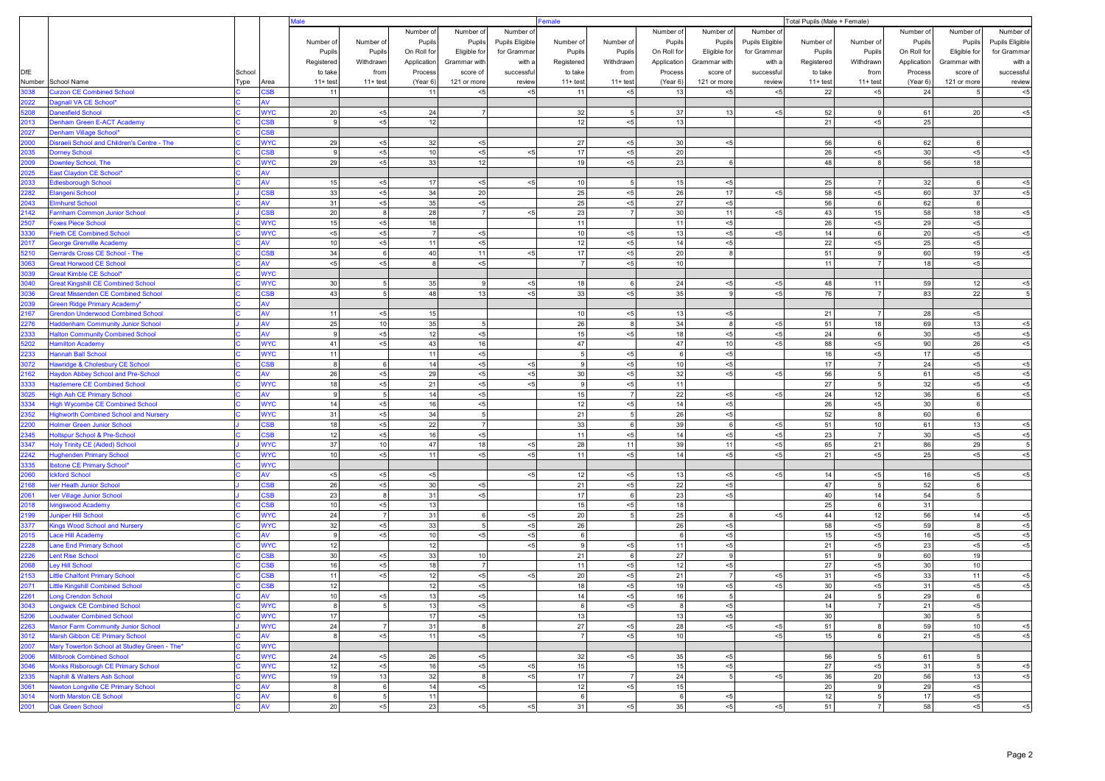|              |                                                                       |        |                         | lale               |                       |                      |                   |                 | Female<br>Total Pupils (Male + Female) |                      |                      |                    |                 |             |                         |             |                   |                       |
|--------------|-----------------------------------------------------------------------|--------|-------------------------|--------------------|-----------------------|----------------------|-------------------|-----------------|----------------------------------------|----------------------|----------------------|--------------------|-----------------|-------------|-------------------------|-------------|-------------------|-----------------------|
|              |                                                                       |        |                         |                    |                       | Number of            | Number of         | Number of       |                                        |                      | Number of            | Number of          | Number of       |             |                         | Number of   | Number of         | Number of             |
|              |                                                                       |        |                         | Number of          | Number of             | Pupils               | Pupils            | Pupils Eligible | Number of                              | Number of            | Pupils               | Pupils             | Pupils Eligible | Number of   | Number of               | Pupils      | Pupils            | Pupils Eligible       |
|              |                                                                       |        |                         | Pupils             | Pupils                | On Roll for          | Eligible for      | for Gramma      | Pupils                                 | Pupils               | On Roll for          | Eligible for       | for Grammar     | Pupils      | Pupils                  | On Roll for | Eligible for      | for Gramma            |
|              |                                                                       |        |                         | Registered         | Withdrawn             | Application          | Grammar with      | with a          | Registered                             | Withdrawn            | Application          | Grammar with       | with a          | Registered  | Withdrawn               | Application | Grammar with      | with a                |
| <b>DfE</b>   |                                                                       | School |                         | to take            | from                  | Process              | score of          | successfu       | to take                                | from                 | Process              | score of           | successful      | to take     | from                    | Process     | score of          | successful            |
| Number       | School Name                                                           | Type   | Area                    | $11 + test$        | $11 + test$           | (Year 6)             | 121 or more       | review          | $11 + test$                            | $11 + test$          | (Year 6)             | 121 or more        | review          | $11 + test$ | $11 + test$             | (Year 6)    | 121 or more       | review                |
| 1038         | <b>Curzon CE Combined School</b>                                      |        | <b>SB</b>               | 11                 |                       | 11                   | $< 5$             |                 | 11                                     | $< 5$                | 13                   | < 5                | $5$             | 22          | $< 5$                   | 24          |                   | $< 5$                 |
| 2022         | Dagnall VA CE School*                                                 |        | w                       |                    |                       |                      | $\overline{7}$    |                 |                                        |                      |                      |                    |                 |             | 9                       |             |                   |                       |
| 5208<br>2013 | <b>Danesfield School</b><br>Denham Green E-ACT Academy                |        | <b>NYC</b><br><b>SB</b> | 20<br>9            | $< 5$<br>$< 5$        | 24<br>12             |                   |                 | 32<br>12                               | 5<br>$< 5$           | 37<br>13             | 13                 | $< 5$           | 52<br>21    | < 5                     | 61<br>25    | 20                | $<\!\!5$              |
| 2027         | Denham Village School*                                                |        | <b>SB</b>               |                    |                       |                      |                   |                 |                                        |                      |                      |                    |                 |             |                         |             |                   |                       |
| 2000         | Disraeli School and Children's Centre - The                           |        | <b>NYC</b>              | 29                 | ${<}5\,$              | 32                   | $<\!\!5$          |                 | 27                                     | $< 5$                | 30                   | $< 5\,$            |                 | 56          | 6                       | 62          | 6                 |                       |
| 035          | <b>Dorney School</b>                                                  |        | :SB                     | 9                  | < 5                   | $10$                 | $<\!\!5$          | $5$             | 17                                     | ${<}5$               | 20                   |                    |                 | 26          | < 5                     | 30          | $< 5$             | $< 5$                 |
| :009         | <b>Downley School, The</b>                                            |        | <b>VYC</b>              | 29                 | $< 5$                 | 33                   | 12                |                 | 19                                     | $< 5$                | 23                   | 6                  |                 | 48          | 8                       | 56          | 18                |                       |
| 2025         | East Claydon CE School*                                               |        | w                       |                    |                       |                      |                   |                 |                                        |                      |                      |                    |                 |             |                         |             |                   |                       |
| 2033         | <b>Edlesborough School</b>                                            |        | w                       | 15                 | < 5                   | 17                   | < 5               | < 5             | 10                                     | 5                    | 15                   | $< 5$              |                 | 25          | $\overline{7}$          | 32          | 6                 | $< 5$                 |
| 2282         | Elangeni School                                                       |        | :SB                     | 33                 | < 5                   | 34                   | 20                |                 | 25                                     | $<\!\!5$             | 26                   | 17                 | $< 5$           | 58          | $< 5$                   | 60          | 37                | $< 5$                 |
| 043          | <b>Elmhurst School</b>                                                |        | <b>V</b>                | 31                 | < 5                   | $35\,$               | $< 5$             |                 | 25                                     | $< 5$                | 27                   | $< 5\,$            |                 | 56          | 6                       | 62          | 6                 |                       |
| 2142         | Farnham Common Junior School                                          |        | S <sub>B</sub>          | 20                 | 8 <sup>8</sup>        | 28                   | $\overline{7}$    | $< 5$           | 23                                     | $\overline{7}$       | 30                   | 11                 | $< 5$           | 43          | 15                      | 58          | 18                | $< 5$                 |
| 2507         | <b>Foxes Piece School</b>                                             |        | <b>NYC</b>              | 15                 | < 5                   | 18                   |                   |                 | 11                                     |                      | 11                   | ${<}5$             |                 | 26          | $< 5$                   | 29          | $< 5$             |                       |
| 3330<br>2017 | <b>Frieth CE Combined School</b><br><b>George Grenville Academy</b>   |        | <b>NYC</b><br>w         | $< 5$<br>10        | $<\!\!5$<br>< 5       | $\overline{7}$<br>11 | $< 5$<br>$<\!\!5$ |                 | 10<br>12                               | $<\!\!5$<br>$<\!\!5$ | 13<br>14             | $< 5\,$<br>$< 5$   | $5$             | 14<br>22    | 6<br>< 5                | 20<br>25    | $< 5$<br>$< 5$    | $<\!\!5$              |
| 5210         | Gerrards Cross CE School - The                                        |        | S <sub>B</sub>          | 34                 | 6                     | 40                   | 11                | $< 5$           | 17                                     | $< 5$                | 20                   | 8                  |                 | 51          | 9                       | 60          | 19                | $<\!\!5$              |
| 3063         | <b>Great Horwood CE School</b>                                        |        | w                       | < 5                | $< 5$                 | 8                    | < 5               |                 | $\overline{7}$                         | $< 5$                | 10 <sup>1</sup>      |                    |                 | 11          | 7                       | 18          | $< 5$             |                       |
| 3039         | <b>Great Kimble CE School*</b>                                        |        | <b>NYC</b>              |                    |                       |                      |                   |                 |                                        |                      |                      |                    |                 |             |                         |             |                   |                       |
| 3040         | <b>Great Kingshill CE Combined School</b>                             |        | <b>NYC</b>              | 30                 | 5 <sub>5</sub>        | 35                   | 9                 | < 5             | 18                                     | 6                    | 24                   | $< 5\,$            | $<\!\!5$        | 48          | 11                      | 59          | 12                | $< 5$                 |
| 3036         | <b>Great Missenden CE Combined School</b>                             |        | <b>SB</b>               | 43                 | 5 <sub>5</sub>        | 48                   | 13                | $5$             | 33                                     | $< 5$                | 35                   | 9                  | $5$             | 76          | $\overline{7}$          | 83          | 22                | $\overline{5}$        |
| 2039         | <b>Green Ridge Primary Academy</b>                                    |        | $\overline{M}$          |                    |                       |                      |                   |                 |                                        |                      |                      |                    |                 |             |                         |             |                   |                       |
| 2167         | <b>Grendon Underwood Combined School</b>                              |        | w                       | 11                 | < 5                   | 15                   |                   |                 | 10                                     | $< 5$                | 13                   | $< 5\,$            |                 | 21          | $\overline{7}$          | 28          | ${<}5\,$          |                       |
| 2276         | <b>Haddenham Community Junior School</b>                              |        | W                       | 25                 | 10                    | 35                   | 5 <sub>5</sub>    |                 | 26                                     | 8                    | 34                   | 8                  | $<\!\!5$        | 51          | 18                      | 69          | 13                | $5$                   |
| 2333         | <b>Halton Community Combined School</b>                               |        | ۹V                      | 9                  | < 5                   | 12                   | $<\!\!5$          |                 | 15                                     | $< 5$                | 18                   | $< 5\,$            | $< 5$           | 24          | 6                       | 30          | ${<}5\,$          | $< 5$                 |
| 5202         | <b>Hamilton Academy</b>                                               |        | <b>NYC</b>              | 41                 | ${<}5\,$              | 43                   | 16                |                 | 47                                     |                      | 47                   | 10                 | $5$             | 88          | < 5                     | 90          | 26                | $< 5$                 |
| 2233         | <b>Hannah Ball School</b>                                             |        | <b>NYC</b>              | 11<br>$\mathbf{a}$ |                       | 11<br>14             | $< 5$<br>$<\!\!5$ | $< 5$           | 5<br>-9                                | $< 5$                | 6<br>10 <sup>1</sup> | $< 5$              |                 | 16<br>17    | < 5<br>$\overline{7}$   | 17<br>24    | $< 5$             |                       |
| 3072<br>2162 | Hawridge & Cholesbury CE School<br>Haydon Abbey School and Pre-School |        | <b>SB</b><br>w          | 26                 | 6<br>< 5              | 29                   | < 5               | $5$             | 30                                     | ${<}5$<br>$< 5$      | 32                   | $< 5\,$<br>$< 5\,$ | $5$             | 56          | 5 <sub>1</sub>          | 61          | ${<}5\,$<br>$< 5$ | $< 5$<br>$< 5$        |
| 3333         | <b>Hazlemere CE Combined School</b>                                   |        | <b>NYC</b>              | 18                 | < 5                   | 21                   | $< 5$             | $5$             | 9                                      | $<\!\!5$             | 11                   |                    |                 | 27          | 5 <sup>1</sup>          | 32          | $< 5$             | $< 5$                 |
| 3025         | <b>High Ash CE Primary School</b>                                     |        | w                       | $\mathsf{Q}$       | 5 <sub>5</sub>        | 14                   | $<\!\!5$          |                 | 15                                     |                      | 22                   | $< 5\,$            | $5$             | 24          | 12                      | 36          | 6                 | $5$                   |
| 334          | <b>High Wycombe CE Combined School</b>                                |        | <b>NYC</b>              | 14                 | < 5                   | 16                   | $<\!5$            |                 | 12                                     | $< 5$                | 14                   | ${<}5$             |                 | 26          | $< 5$                   | 30          |                   |                       |
| 352          | <b>Highworth Combined School and Nursery</b>                          |        | <b>NYC</b>              | 31                 | ${<}5$                | 34                   | 5 <sup>1</sup>    |                 | 21                                     | 5                    | 26                   | $< 5\,$            |                 | 52          | 8                       | 60          | 6                 |                       |
| 2200         | <b>Holmer Green Junior School</b>                                     |        | <b>SB</b>               | 18                 | < 5                   | 22                   | $\overline{7}$    |                 | 33                                     | 6                    | 39                   | 6                  | $< 5\,$         | 51          | 10                      | 61          | 13                | $< 5$                 |
| 2345         | <b>Holtspur School &amp; Pre-School</b>                               |        | <b>SB</b>               | 12                 | < 5                   | 16                   | $<\!\!5$          |                 | 11                                     | $<\!\!5$             | 14                   | $< 5$              | $5$             | 23          | $\overline{7}$          | 30          | $< 5$             | $<\!\!5$              |
| 3347         | <b>Holy Trinity CE (Aided) School</b>                                 |        | <b>NYC</b>              | 37                 | 10                    | 47                   | 18                | $5$             | 28                                     | 11                   | 39                   | 11                 | $< 5$           | 65          | 21                      | 86          | 29                | 5                     |
| 2242         | <b>Hughenden Primary School</b>                                       |        | <b>VYC</b>              | 10 <sup>1</sup>    | $< 5$                 | 11                   | < 5               | $5$             | 11                                     | $< 5$                | 14                   | $< 5$              | $5$             | 21          | < 5                     | 25          | $5$               | $< 5$                 |
| 3335         | <b>Ibstone CE Primary School*</b>                                     |        | <b>NYC</b>              |                    |                       |                      |                   | $5$             |                                        |                      |                      |                    |                 |             |                         |             |                   |                       |
| 2060<br>2168 | <b>Ickford School</b>                                                 |        | W<br>:SB                | ${<}5\,$<br>26     | < 5<br>${<}5$         | $<\!\!5$<br>30       | $< 5$             |                 | 12<br>21                               | $<\!\!5$<br>$< 5$    | 13<br>22             | $< 5$<br>$< 5$     | $< 5$           | 14<br>47    | $< 5$<br>$\overline{5}$ | 16<br>52    | $< 5$             | $< 5$                 |
| 2061         | <b>Ver Heath Junior School</b><br>Iver Village Junior School          |        | :SB                     | 23                 | 8 <sup>1</sup>        | 31                   | $< 5$             |                 | 17                                     | 6                    | 23                   | $< 5$              |                 | 40          | 14                      | 54          | -5                |                       |
| 2018         | Ivingswood Academy                                                    |        | :SB                     | 10                 | < 5                   | 13                   |                   |                 | 15                                     | $< 5$                | 18                   |                    |                 | 25          | 6                       | 31          |                   |                       |
| 2199         | <b>Juniper Hill School</b>                                            |        | <b>NYC</b>              | 24                 | 7                     | 31                   | 6                 | $< 5$           | 20                                     |                      | 25                   | 8                  | $< 5$           | 44          | 12                      | 56          | 14                | $< 5$                 |
| 3377         | <b>Kings Wood School and Nursery</b>                                  |        | <b>VYC</b>              | 32                 | $5$                   | $33\,$               | 5 <sub>5</sub>    | $5$             | 26                                     |                      | 26                   | $< 5\,$            |                 | 58          | $<\!\!5$                | 59          | 8                 | ${<}5$                |
| 2015         | Lace Hill Academy                                                     |        | w                       | 9                  | < 5                   | 10                   | $< 5$             | < 5             | - 6                                    |                      | 6                    | $< 5$              |                 | 15          | < 5                     | 16          | $< 5$             | $<\!\!5$              |
| 2228         | Lane End Primary School                                               |        | <b>NYC</b>              | 12                 |                       | 12                   |                   | $< 5$           | 9                                      | $< 5$                | 11                   | $< 5$              |                 | 21          | $< 5$                   | 23          | $<\!\!5$          | $<$ 5                 |
| 2226         | <b>Lent Rise School</b>                                               |        | :SB                     | 30                 | $<\!\!5$              | 33                   | 10                |                 | 21                                     | 6                    | 27                   | 9                  |                 | 51          | 9                       | 60          | 19                |                       |
| 8809         | ey Hill School                                                        |        | :SB                     | 16                 | < 5                   | 18                   | $\overline{7}$    |                 | 11                                     | $< 5$                | 12                   | $< 5$              |                 | 27          | < 5                     | 30          | 10                |                       |
| 2153         | Little Chalfont Primary School                                        |        | <b>SB</b>               | 11                 | $5$                   | 12                   | $<\!\!5$          | $5$             | 20                                     | $<\!\!5$             | 21                   | $\overline{7}$     | $< 5$           | 31          | $< 5$                   | 33          | 11                | $5$                   |
| 2071         | <b>Little Kingshill Combined School</b>                               |        | <b>SB</b><br>M          | 12                 |                       | 12                   | $< 5$             |                 | 18                                     | $< 5$                | 19                   | $< 5$<br>5         | $5$             | 30          | < 5<br>5                | 31          | $5$               | $< 5$                 |
| 2261<br>3043 | <b>Long Crendon School</b><br><b>Longwick CE Combined School</b>      |        | WYC                     | 10<br>8            | < 5<br>5 <sub>5</sub> | 13<br>13             | $< 5$<br>< 5      |                 | 14<br>6                                | $<\!\!5$<br>$< 5$    | 16<br>8              | $< 5$              |                 | 24<br>14    | $\overline{7}$          | 29<br>21    | $< 5$             |                       |
| 5206         | <b>Loudwater Combined School</b>                                      |        | <b>NYC</b>              | 17                 |                       | 17                   | $< 5$             |                 | 13                                     |                      | 13                   | $<\!5$             |                 | 30          |                         | 30          | 5                 |                       |
| 2263         | Manor Farm Community Junior School                                    |        | <b>WYC</b>              | 24                 | 7                     | 31                   | 8                 |                 | 27                                     | < 5                  | 28                   | $< 5$              | $<\!\!5$        | 51          | 8                       | 59          | 10                | $< 5$                 |
| 3012         | Marsh Gibbon CE Primary School                                        |        | AV                      | 8                  | < 5                   | 11                   | $<$ 5             |                 | $\overline{7}$                         | < 5                  | 10                   |                    | $5$             | 15          | 6                       | 21          | < 5               | $<\!\!5$              |
| 2007         | Mary Towerton School at Studley Green - The*                          |        | <b>WYC</b>              |                    |                       |                      |                   |                 |                                        |                      |                      |                    |                 |             |                         |             |                   |                       |
| 2006         | <b>Millbrook Combined School</b>                                      |        | <b>WYC</b>              | 24                 | < 5                   | 26                   | $< 5$             |                 | 32                                     | < 5                  | 35                   | < 5                |                 | 56          | 5 <sub>1</sub>          | 61          | 5                 |                       |
| 3046         | Monks Risborough CE Primary School                                    |        | <b>WYC</b>              | 12                 | < 5                   | 16                   | $< 5$             | $\leq$ 5        | 15                                     |                      | 15                   | $< 5$              |                 | 27          | $< 5$                   | 31          |                   | $< 5$                 |
| 2335         | <b>Naphill &amp; Walters Ash School</b>                               |        | <b>WYC</b>              | 19                 | 13                    | 32                   | 8                 | < 5             | 17                                     | $\overline{7}$       | 24                   | $5\overline{5}$    | $< 5\,$         | 36          | 20                      | 56          | 13                | $< 5$                 |
| 061          | Newton Longville CE Primary School                                    |        | M                       | $\mathbf{a}$       | 6                     | 14                   | $<\!\!5$          |                 | 12                                     | < 5                  | 15                   |                    |                 | 20          | 9                       | 29          | $<\!\!5$          |                       |
| 3014         | North Marston CE School                                               |        | AV                      | 6                  | $5\overline{)}$       | 11                   |                   |                 | 6                                      |                      | 6                    | $<\!5$             |                 | 12          | 5 <sub>1</sub>          | 17          | $5$               |                       |
| 2001         | Oak Green School                                                      |        | AV                      | 20                 | < 5                   | 23                   | $< 5$             | $<\!\!5$        | 31                                     | < 5                  | 35                   | $<\!5$             | $< 5$           | 51          | 7                       | 58          | < 5               | $\mathord{\text{<}}5$ |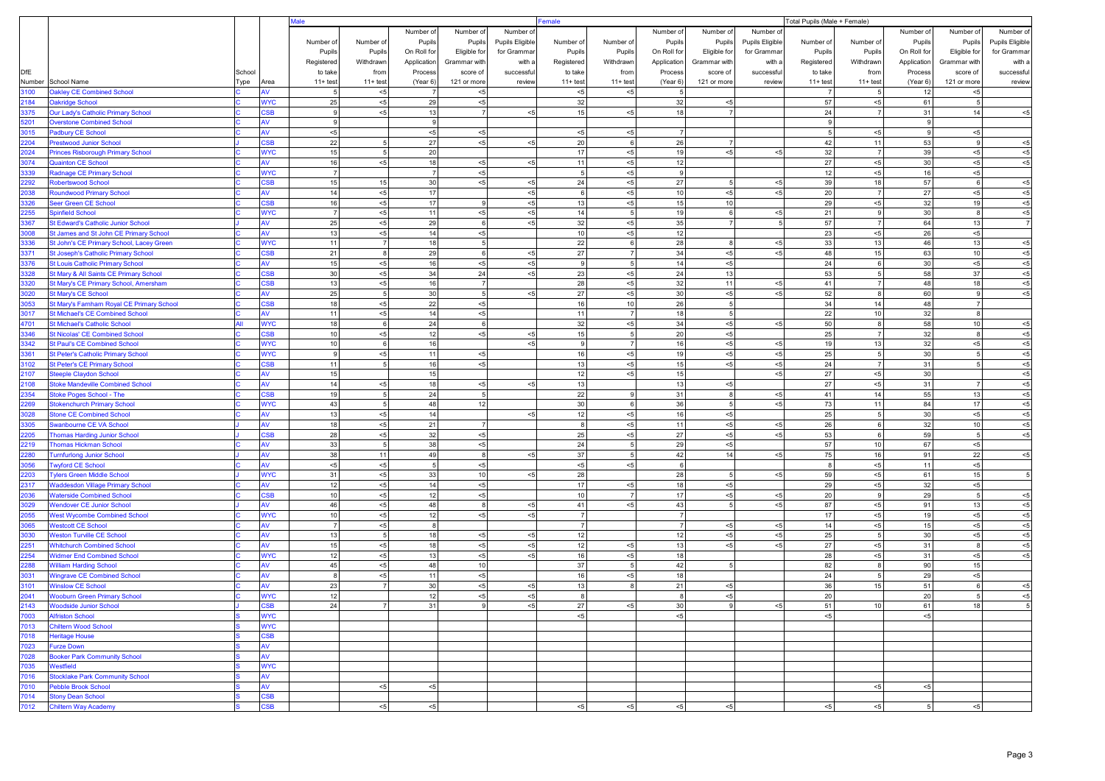|              |                                                                                  |        |                         | lale                 |                |                            |                   |                 | Female<br>Total Pupils (Male + Female) |             |                      |                |                 |             |                      |                |                       |                         |  |
|--------------|----------------------------------------------------------------------------------|--------|-------------------------|----------------------|----------------|----------------------------|-------------------|-----------------|----------------------------------------|-------------|----------------------|----------------|-----------------|-------------|----------------------|----------------|-----------------------|-------------------------|--|
|              |                                                                                  |        |                         |                      |                | Number of                  | Number of         | Number of       |                                        |             | Number of            | Number of      | Number o        |             |                      | Number of      | Number of             | Number of               |  |
|              |                                                                                  |        |                         | Number of            | Number of      | Pupils                     | Pupils            | Pupils Eligible | Number of                              | Number of   | Pupils               | Pupils         | Pupils Eligible | Number of   | Number of            | Pupils         | Pupils                | Pupils Eligible         |  |
|              |                                                                                  |        |                         | Pupils               | Pupils         | On Roll for                | Eligible for      | for Grammar     | Pupils                                 | Pupils      | On Roll for          | Eligible for   | for Grammar     | Pupils      | Pupils               | On Roll for    | Eligible for          | for Grammar             |  |
|              |                                                                                  |        |                         | Registered           | Withdrawn      | Application                | Grammar with      | with a          | Registered                             | Withdrawn   | Application          | Grammar with   | with a          | Registered  | Withdrawn            | Application    | Grammar with          | with a                  |  |
| <b>DfE</b>   |                                                                                  | School |                         | to take              | from           | Process                    | score of          | successfu       | to take                                | from        | Process              | score of       | successful      | to take     | from                 | Process        | score of              | successful              |  |
| Number       | School Name<br><b>Oakley CE Combined School</b>                                  | Type   | Area                    | $11 + \text{test}$   | $11 + test$    | (Year 6)<br>$\overline{7}$ | 121 or more       | review          | $11 + test$                            | $11 + test$ | (Year 6)<br>5        | 121 or more    | review          | $11 + test$ | $11 + test$<br>5     | (Year 6)       | 121 or more           | review                  |  |
| 3100<br>2184 | <b>Oakridge School</b>                                                           |        | <b>WYC</b>              | 25                   | < 5<br>< 5     | 29                         | $< 5$<br>< 5      |                 | $< 5\,$<br>32                          | $< 5$       | 32                   | < 5            |                 | 57          | < 5                  | 12<br>61       | < 5<br>5 <sub>5</sub> |                         |  |
| 3375         | Our Lady's Catholic Primary School                                               |        | SB                      |                      | < 5            | 13                         | $\overline{7}$    | < 5             | 15                                     | $< 5\,$     | 18                   | $\overline{7}$ |                 | 24          |                      | 31             | 14                    | ${<}5$                  |  |
| 201          | <b>Overstone Combined School</b>                                                 |        | w                       | 9                    |                | 9                          |                   |                 |                                        |             |                      |                |                 | 9           |                      | -9             |                       |                         |  |
| 3015         | Padbury CE School                                                                |        | AV                      | $< 5$                |                | < 5                        | < 5               |                 | $< 5$                                  | $< 5$       | 7 <sup>1</sup>       |                |                 | 5           | < 5                  | 9              | $<\!\!5$              |                         |  |
| 2204         | <b>Prestwood Junior School</b>                                                   |        | S <sub>B</sub>          | 22                   | 5              | 27                         | $<\!\!5$          | $5$             | 20                                     | 6           | 26                   | 7              |                 | 42          | 11                   | 53             | $\mathbf{Q}$          | $<\!\!5$                |  |
| 2024         | <b>Princes Risborough Primary School</b>                                         |        | <b>WYC</b>              | 15                   | 5 <sub>5</sub> | 20                         |                   |                 | 17                                     | $< 5$       | 19                   | < 5            | $5 - 5$         | 32          | $\overline{7}$       | 39             | $< 5$                 | $< 5$                   |  |
| 3074         | <b>Quainton CE School</b>                                                        |        | w                       | 16                   | < 5            | 18                         | $< 5$             | $5$             | 11                                     | $< 5\,$     | 12                   |                |                 | 27          | < 5                  | 30             | $<\!\!5$              | $< 5$                   |  |
| 3339         | Radnage CE Primary School                                                        |        | <b>WYC</b>              | $\overline{7}$       |                | $\overline{7}$             | $< 5$             |                 | -5                                     | $< 5$       | 9                    |                |                 | 12          | < 5                  | 16             | $< 5$                 |                         |  |
| 2292         | <b>Robertswood School</b>                                                        |        | SSB                     | 15                   | 15             | 30                         | $<\!5$            | $< 5$           | 24                                     | $< 5$       | 27                   | 5 <sub>5</sub> | $5$             | 39          | 18                   | 57             | 6                     | $<\!\!5$                |  |
| 2038         | <b>Roundwood Primary School</b>                                                  |        | w                       | 14                   | $5$            | 17                         |                   | < 5             | - 6                                    | $< 5$       | 10                   | < 5            | $5 - 5$         | 20          | $7 \overline{ }$     | 27             | $<\!\!5$              | $< 5$                   |  |
| 3326         | Seer Green CE School                                                             |        | SB<br><b>WYC</b>        | 16<br>$\overline{7}$ | < 5            | 17<br>11                   | 9<br>$<\!5$       | < 5<br>$< 5$    | 13<br>14                               | $< 5$<br>5  | 15<br>19             | 10             |                 | 29          | ${<}5\,$<br>9        | 32             | 19<br>8               | < 5                     |  |
| 2255<br>3367 | <b>Spinfield School</b><br>St Edward's Catholic Junior School                    |        | W                       | 25                   | < 5<br>< 5     | 29                         | $6\overline{6}$   | $5$             | 32                                     | $< 5$       | 35 <sup>1</sup>      | 6<br>7         | $5$             | 21<br>57    | $\overline{7}$       | 30<br>64       | 13                    | $< 5$<br>$7\phantom{.}$ |  |
| 3008         | St James and St John CE Primary School                                           |        | w                       | 13                   | < 5            | 14                         | $<\!\!5$          |                 | 10                                     | $< 5$       | 12                   |                |                 | 23          | < 5                  | 26             | $<\!\!5$              |                         |  |
| 3336         | St John's CE Primary School, Lacey Green                                         |        | <b>WYC</b>              | 11                   | 7 <sup>1</sup> | 18                         | 5 <sub>5</sub>    |                 | 22                                     | 6           | 28                   | 8 <sup>8</sup> | $<\!\!5$        | 33          | 13                   | 46             | 13                    | $5$                     |  |
| 3371         | <b>St Joseph's Catholic Primary School</b>                                       |        | S <sub>B</sub>          | 21                   | 8 <sup>8</sup> | 29                         | $6\overline{6}$   | $< 5$           | 27                                     |             | 34                   | < 5            | $5 - 5$         | 48          | 15                   | 63             | 10                    | $< 5$                   |  |
| 3376         | <b>St Louis Catholic Primary School</b>                                          |        | w                       | 15                   | < 5            | 16                         | $<\!\!5$          | < 5             | -9                                     | 5           | 14                   | < 5            |                 | 24          | 6                    | 30             | $<\!\!5$              | $<\!\!5$                |  |
| 3328         | St Mary & All Saints CE Primary School                                           |        | <b>CSB</b>              | 30                   | $5$            | 34                         | 24                | $5$             | 23                                     | $< 5$       | 24                   | 13             |                 | 53          | 5                    | 58             | 37                    | $<\!\!5$                |  |
| 3320         | St Mary's CE Primary School, Amersham                                            |        | SB                      | 13                   | < 5            | 16                         | $\overline{7}$    |                 | 28                                     | $< 5$       | 32                   | 11             | $5$             | 41          | 7                    | 48             | 18                    | $< 5$                   |  |
| 3020         | St Mary's CE School                                                              |        | w                       | 25                   | 5 <sub>5</sub> | 30                         | 5 <sub>5</sub>    | $5$             | 27                                     | $< 5$       | 30 <sup>1</sup>      | $5$            | $<\!\!5$        | 52          | 8                    | 60             | 9                     | $< 5$                   |  |
| 3053         | St Mary's Farnham Royal CE Primary School                                        |        | S <sub>BB</sub>         | 18                   | < 5            | 22                         | $<\!\!5$          |                 | 16                                     | 10          | 26                   | 5 <sub>5</sub> |                 | 34          | 14                   | 48             | 7 <sup>1</sup>        |                         |  |
| 3017         | St Michael's CE Combined School                                                  |        | W                       | 11                   | < 5            | 14                         | $<\!\!5$          |                 | 11                                     |             | 18                   | 5 <sub>5</sub> |                 | 22          | 10 <sup>1</sup>      | 32             | 8                     |                         |  |
| 4701         | St Michael's Catholic School                                                     |        | <b>WYC</b>              | 18                   | 6              | 24                         | 6                 |                 | 32                                     | $<\!\!5$    | 34                   | < 5            | $5$             | 50          | 8                    | 58             | 10                    | $5$                     |  |
| 3346<br>3342 | <b>St Nicolas' CE Combined School</b>                                            |        | <b>SB</b><br><b>NYC</b> | 10<br>10             | < 5<br>6       | 12<br>16                   | $<\!\!5$          | < 5<br>$5$      | 15<br>-9                               | 5           | 20<br>16             | < 5<br>< 5     | $5$             | 25<br>19    | $\overline{7}$<br>13 | 32<br>32       | 8<br>$< 5$            | $< 5$<br>$<\!\!5$       |  |
| 3361         | <b>St Paul's CE Combined School</b><br><b>St Peter's Catholic Primary School</b> |        | <b>WYC</b>              | 9                    | < 5            | 11                         | < 5               |                 | 16                                     | $< 5$       | 19                   | < 5            | $<\!\!5$        | 25          | 5 <sub>1</sub>       | 30             | 5                     | $<\!\!5$                |  |
| 3102         | <b>St Peter's CE Primary School</b>                                              |        | SB                      | 11                   | 5 <sub>5</sub> | 16                         | $<\!\!5$          |                 | 13                                     | $< 5$       | 15                   | < 5            | $<\!\!5$        | 24          | $\overline{7}$       | 31             | $\overline{5}$        | $< 5$                   |  |
| 2107         | <b>Steeple Claydon School</b>                                                    |        | w                       | 15                   |                | 15                         |                   |                 | 12                                     | $5$         | 15                   |                | $5 - 5$         | 27          | < 5                  | 30             |                       | $< 5$                   |  |
| 2108         | <b>Stoke Mandeville Combined School</b>                                          |        | W                       | 14                   | < 5            | 18                         | $<\!\!5$          | < 5             | 13                                     |             | 13                   | < 5            |                 | 27          | < 5                  | 31             | $\overline{7}$        | $< 5$                   |  |
| 2354         | Stoke Poges School - The                                                         |        | S <sub>B</sub>          | 19                   | 5 <sub>5</sub> | 24                         | 5 <sub>5</sub>    |                 | 22                                     |             | 31                   | 8              | $5$             | 41          | 14                   | 55             | 13                    | $< 5$                   |  |
| 2269         | <b>Stokenchurch Primary School</b>                                               |        | <b>WYC</b>              | 43                   | 5 <sub>5</sub> | 48                         | 12                |                 | 30                                     |             | 36                   | 5 <sub>5</sub> | $< 5$           | 73          | 11                   | 84             | 17                    | $< 5$                   |  |
| 3028         | <b>Stone CE Combined School</b>                                                  |        | W                       | 13                   | < 5            | 14                         |                   | $5$             | 12                                     | $< 5\,$     | 16                   | $5$            |                 | 25          | 5                    | 30             | $<\!\!5$              | $< 5$                   |  |
| 3305         | Swanbourne CE VA School                                                          |        | AV                      | 18                   | < 5            | 21                         | $\overline{7}$    |                 | -8                                     | $< 5$       | 11                   | < 5            | $< 5$           | 26          | 6                    | 32             | 10                    | $< 5$                   |  |
| 2205         | <b>Thomas Harding Junior School</b>                                              |        | <b>SB</b>               | 28                   | < 5            | 32                         | $<\!\!5$          |                 | 25                                     | $< 5$       | 27                   | < 5            | $5$             | 53          | 6                    | 59             | 5                     | ${<}5$                  |  |
| 2219         | <b>Thomas Hickman School</b>                                                     |        | w                       | 33                   | 5 <sub>5</sub> | 38                         | $< 5$             |                 | 24                                     | 5           | 29                   | < 5            |                 | 57          | 10 <sup>1</sup>      | 67             | $<\!\!5$              |                         |  |
| 2280         | <b>Turnfurlong Junior School</b>                                                 |        | w                       | 38                   | 11             | 49                         | 8                 | $5$             | 37                                     |             | 42                   | 14             | $5$             | 75          | 16                   | 91             | 22                    | $< 5$                   |  |
| 3056<br>2203 | <b>Twyford CE School</b><br><b>Tylers Green Middle School</b>                    |        | AV<br><b>WYC</b>        | < 5<br>31            | < 5<br>< 5     | $\sqrt{5}$<br>33           | $< 5$<br>10       | $5$             | $5$<br>28                              | $< 5$       | $6 \mid$<br>28       | 5 <sub>5</sub> | $5$             | 8<br>59     | < 5<br>< 5           | 11<br>61       | $<\!\!5$<br>15        | $\sqrt{5}$              |  |
| 2317         | <b>Waddesdon Village Primary School</b>                                          |        | w                       | 12                   | < 5            | 14                         | $<\!\!5$          |                 | 17                                     | $< 5$       | 18                   | < 5            |                 | 29          | $< 5$                | 32             | $<\!\!5$              |                         |  |
| 2036         | <b>Waterside Combined School</b>                                                 |        | <b>SB</b>               | 10                   | < 5            | 12                         | $<\!\!5$          |                 | 10                                     |             | 17                   | < 5            | $5$             | 20          | 9                    | 29             | 5 <sub>5</sub>        | $5$                     |  |
| 3029         | <b>Wendover CE Junior School</b>                                                 |        | w                       | 46                   | < 5            | 48                         | $\boldsymbol{8}$  | $< 5$           | 41                                     | $< 5$       | 43                   | $\overline{5}$ | $5 - 5$         | 87          | < 5                  | 91             | 13                    | $< 5$                   |  |
| 2055         | <b>West Wycombe Combined School</b>                                              |        | <b>WYC</b>              | 10                   | < 5            | 12                         | $< 5$             | $< 5$           | $\overline{7}$                         |             | 7                    |                |                 | 17          | < 5                  | 19             | $< 5$                 | $<\!\!5$                |  |
| 3065         | <b>Westcott CE School</b>                                                        |        | w                       | $\overline{7}$       | $5$            | 8                          |                   |                 | $\overline{7}$                         |             | 7 <sup>1</sup>       | < 5            | $5$             | 14          | < 5                  | 15             | $<\!\!5$              | $< 5$                   |  |
| 3030         | <b>Weston Turville CE School</b>                                                 |        | W                       | 13                   | 5 <sub>5</sub> | 18                         | < 5               | < 5             | 12                                     |             | 12 <sub>1</sub>      | < 5            | $5$             | 25          | 5 <sup>1</sup>       | 30             | $< 5$                 | $< 5$                   |  |
| 2251         | <b>Whitchurch Combined School</b>                                                |        | W                       | 15                   | $5$            | 18                         | $<\!\!5$          | $<\!\!5$        | 12                                     | $< 5$       | 13                   | < 5            | $<\!\!5$        | 27          | < 5                  | 31             | 8                     | $5$                     |  |
| 2254         | <b>Widmer End Combined School</b>                                                |        | <b>WYC</b>              | 12                   | < 5            | 13                         | $<\!\!5$          | $5$             | 16                                     | $< 5$       | 18                   |                |                 | 28          | < 5                  | 31             | $<\!\!5$              | $<\!\!5$                |  |
| 2288         | <b>William Harding School</b>                                                    |        | w                       | 45                   | < 5            | 48                         | 10                |                 | 37                                     |             | 42                   | 5              |                 | 82          | 8                    | 90             | 15                    |                         |  |
| 3031         | <b>Wingrave CE Combined School</b>                                               |        | w                       |                      | $5$            | 11                         | $<\!\!5$          |                 | 16                                     | $5$         | 18                   |                |                 | 24          | 5                    | 29             | < 5                   |                         |  |
| 3101<br>2041 | <b>Winslow CE School</b><br><b>Wooburn Green Primary School</b>                  |        | w<br><b>NYC</b>         | 23<br>12             | 7 <sup>1</sup> | 30<br>12                   | $<\!\!5$<br>$< 5$ | $< 5$<br>$< 5$  | 13<br>8                                |             | 21<br>8 <sup>1</sup> | < 5<br>< 5     |                 | 36<br>20    | 15                   | 51<br>20       |                       | $< 5$<br>$<\!\!5$       |  |
| 2143         | <b>Woodside Junior School</b>                                                    |        |                         | 24                   | 7              | 31                         | 9                 | < 5             | 27                                     | < 5         | 30 <sup>1</sup>      | 9              | $< 5$           | 51          | 10 <sup>1</sup>      | 61             | 18                    |                         |  |
| 7003         | <b>Alfriston School</b>                                                          |        | <b>WYC</b>              |                      |                |                            |                   |                 | $<\!\!5$                               |             | $<$ 5                |                |                 | < 5         |                      | $<\!\!5$       |                       |                         |  |
| 7013         | <b>Chiltern Wood School</b>                                                      |        | <b>WYC</b>              |                      |                |                            |                   |                 |                                        |             |                      |                |                 |             |                      |                |                       |                         |  |
| 7018         | <b>Heritage House</b>                                                            |        | S <sub>BB</sub>         |                      |                |                            |                   |                 |                                        |             |                      |                |                 |             |                      |                |                       |                         |  |
| 7023         | <b>Furze Down</b>                                                                |        | AV                      |                      |                |                            |                   |                 |                                        |             |                      |                |                 |             |                      |                |                       |                         |  |
| 7028         | <b>Booker Park Community School</b>                                              |        | AV                      |                      |                |                            |                   |                 |                                        |             |                      |                |                 |             |                      |                |                       |                         |  |
| 7035         | Westfield                                                                        |        | <b>WYC</b>              |                      |                |                            |                   |                 |                                        |             |                      |                |                 |             |                      |                |                       |                         |  |
| 7016         | <b>Stocklake Park Community School</b>                                           |        | AV                      |                      |                |                            |                   |                 |                                        |             |                      |                |                 |             |                      |                |                       |                         |  |
| 7010         | <b>Pebble Brook School</b>                                                       |        | W                       |                      | < 5            | $<\!\!5$                   |                   |                 |                                        |             |                      |                |                 |             | < 5                  | $< 5$          |                       |                         |  |
| 7014         | <b>Stony Dean School</b>                                                         |        | <b>SB</b>               |                      |                |                            |                   |                 |                                        |             |                      |                |                 |             |                      |                |                       |                         |  |
|              | 7012 Chiltern Way Academy                                                        |        | S <sub>BB</sub>         |                      | $< 5$          | $< 5$                      |                   |                 | < 5                                    | < 5         | $<$ 5                | $< 5$          |                 | $<$ 5       | $< 5$                | 5 <sub>5</sub> | $<$ 5                 |                         |  |